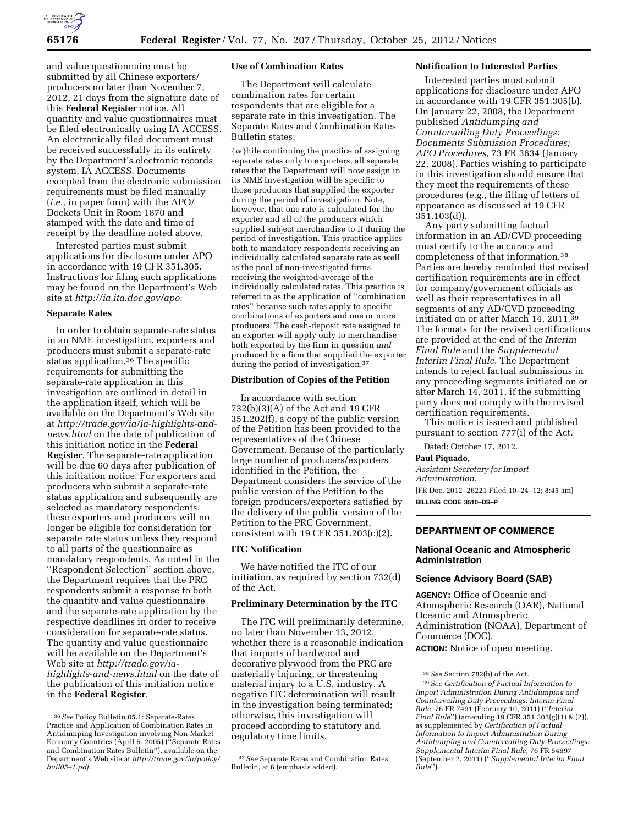

and value questionnaire must be submitted by all Chinese exporters/ producers no later than November 7, 2012, 21 days from the signature date of this **Federal Register** notice. All quantity and value questionnaires must be filed electronically using IA ACCESS. An electronically filed document must be received successfully in its entirety by the Department's electronic records system, IA ACCESS. Documents excepted from the electronic submission requirements must be filed manually (*i.e.,* in paper form) with the APO/ Dockets Unit in Room 1870 and stamped with the date and time of receipt by the deadline noted above.

Interested parties must submit applications for disclosure under APO in accordance with 19 CFR 351.305. Instructions for filing such applications may be found on the Department's Web site at *[http://ia.ita.doc.gov/apo.](http://ia.ita.doc.gov/apo)* 

# **Separate Rates**

In order to obtain separate-rate status in an NME investigation, exporters and producers must submit a separate-rate status application.36 The specific requirements for submitting the separate-rate application in this investigation are outlined in detail in the application itself, which will be available on the Department's Web site at *[http://trade.gov/ia/ia-highlights-and](http://trade.gov/ia/ia-highlights-and-news.html)[news.html](http://trade.gov/ia/ia-highlights-and-news.html)* on the date of publication of this initiation notice in the **Federal Register**. The separate-rate application will be due 60 days after publication of this initiation notice. For exporters and producers who submit a separate-rate status application and subsequently are selected as mandatory respondents, these exporters and producers will no longer be eligible for consideration for separate rate status unless they respond to all parts of the questionnaire as mandatory respondents. As noted in the ''Respondent Selection'' section above, the Department requires that the PRC respondents submit a response to both the quantity and value questionnaire and the separate-rate application by the respective deadlines in order to receive consideration for separate-rate status. The quantity and value questionnaire will be available on the Department's Web site at *[http://trade.gov/ia](http://trade.gov/ia-highlights-and-news.html)[highlights-and-news.html](http://trade.gov/ia-highlights-and-news.html)* on the date of the publication of this initiation notice in the **Federal Register**.

### **Use of Combination Rates**

The Department will calculate combination rates for certain respondents that are eligible for a separate rate in this investigation. The Separate Rates and Combination Rates Bulletin states:

{w}hile continuing the practice of assigning separate rates only to exporters, all separate rates that the Department will now assign in its NME Investigation will be specific to those producers that supplied the exporter during the period of investigation. Note, however, that one rate is calculated for the exporter and all of the producers which supplied subject merchandise to it during the period of investigation. This practice applies both to mandatory respondents receiving an individually calculated separate rate as well as the pool of non-investigated firms receiving the weighted-average of the individually calculated rates. This practice is referred to as the application of ''combination rates'' because such rates apply to specific combinations of exporters and one or more producers. The cash-deposit rate assigned to an exporter will apply only to merchandise both exported by the firm in question *and*  produced by a firm that supplied the exporter during the period of investigation.<sup>37</sup>

#### **Distribution of Copies of the Petition**

In accordance with section 732(b)(3)(A) of the Act and 19 CFR 351.202(f), a copy of the public version of the Petition has been provided to the representatives of the Chinese Government. Because of the particularly large number of producers/exporters identified in the Petition, the Department considers the service of the public version of the Petition to the foreign producers/exporters satisfied by the delivery of the public version of the Petition to the PRC Government, consistent with 19 CFR 351.203(c)(2).

### **ITC Notification**

We have notified the ITC of our initiation, as required by section 732(d) of the Act.

### **Preliminary Determination by the ITC**

The ITC will preliminarily determine, no later than November 13, 2012, whether there is a reasonable indication that imports of hardwood and decorative plywood from the PRC are materially injuring, or threatening material injury to a U.S. industry. A negative ITC determination will result in the investigation being terminated; otherwise, this investigation will proceed according to statutory and regulatory time limits.

# **Notification to Interested Parties**

Interested parties must submit applications for disclosure under APO in accordance with 19 CFR 351.305(b). On January 22, 2008, the Department published *Antidumping and Countervailing Duty Proceedings: Documents Submission Procedures; APO Procedures,* 73 FR 3634 (January 22, 2008). Parties wishing to participate in this investigation should ensure that they meet the requirements of these procedures (*e.g.,* the filing of letters of appearance as discussed at 19 CFR 351.103(d)).

Any party submitting factual information in an AD/CVD proceeding must certify to the accuracy and completeness of that information.38 Parties are hereby reminded that revised certification requirements are in effect for company/government officials as well as their representatives in all segments of any AD/CVD proceeding initiated on or after March 14, 2011.39 The formats for the revised certifications are provided at the end of the *Interim Final Rule* and the *Supplemental Interim Final Rule.* The Department intends to reject factual submissions in any proceeding segments initiated on or after March 14, 2011, if the submitting party does not comply with the revised certification requirements.

This notice is issued and published pursuant to section 777(i) of the Act.

Dated: October 17, 2012.

#### **Paul Piquado,**

*Assistant Secretary for Import Administration.*  [FR Doc. 2012–26221 Filed 10–24–12; 8:45 am] **BILLING CODE 3510–DS–P** 

# **DEPARTMENT OF COMMERCE**

## **National Oceanic and Atmospheric Administration**

### **Science Advisory Board (SAB)**

**AGENCY:** Office of Oceanic and Atmospheric Research (OAR), National Oceanic and Atmospheric Administration (NOAA), Department of Commerce (DOC). **ACTION:** Notice of open meeting.

<sup>36</sup>*See* Policy Bulletin 05.1: Separate-Rates Practice and Application of Combination Rates in Antidumping Investigation involving Non-Market Economy Countries (April 5, 2005) (''Separate Rates and Combination Rates Bulletin''), available on the Department's Web site at *[http://trade.gov/ia/policy/](http://trade.gov/ia/policy/bull05-1.pdf) [bull05–1.pdf.](http://trade.gov/ia/policy/bull05-1.pdf)* 

<sup>37</sup>*See* Separate Rates and Combination Rates Bulletin, at 6 (emphasis added).

<sup>38</sup>*See* Section 782(b) of the Act.

<sup>39</sup>*See Certification of Factual Information to Import Administration During Antidumping and Countervailing Duty Proceedings: Interim Final Rule,* 76 FR 7491 (February 10, 2011) (''*Interim Final Rule*'') (amending 19 CFR 351.303(g)(1) & (2)), as supplemented by *Certification of Factual Information to Import Administration During Antidumping and Countervailing Duty Proceedings: Supplemental Interim Final Rule,* 76 FR 54697 (September 2, 2011) (''*Supplemental Interim Final Rule*'').